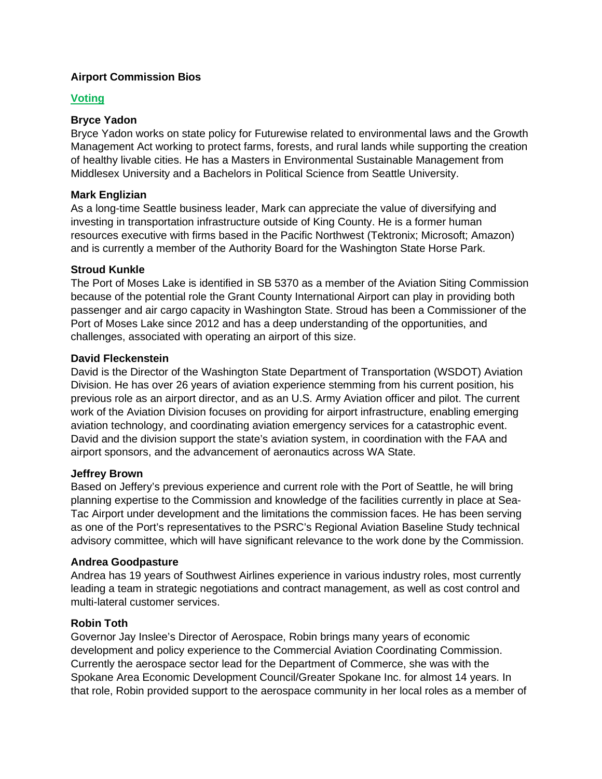# **Airport Commission Bios**

## **Voting**

# **Bryce Yadon**

Bryce Yadon works on state policy for Futurewise related to environmental laws and the Growth Management Act working to protect farms, forests, and rural lands while supporting the creation of healthy livable cities. He has a Masters in Environmental Sustainable Management from Middlesex University and a Bachelors in Political Science from Seattle University.

# **Mark Englizian**

As a long-time Seattle business leader, Mark can appreciate the value of diversifying and investing in transportation infrastructure outside of King County. He is a former human resources executive with firms based in the Pacific Northwest (Tektronix; Microsoft; Amazon) and is currently a member of the Authority Board for the Washington State Horse Park.

## **Stroud Kunkle**

The Port of Moses Lake is identified in SB 5370 as a member of the Aviation Siting Commission because of the potential role the Grant County International Airport can play in providing both passenger and air cargo capacity in Washington State. Stroud has been a Commissioner of the Port of Moses Lake since 2012 and has a deep understanding of the opportunities, and challenges, associated with operating an airport of this size.

## **David Fleckenstein**

David is the Director of the Washington State Department of Transportation (WSDOT) Aviation Division. He has over 26 years of aviation experience stemming from his current position, his previous role as an airport director, and as an U.S. Army Aviation officer and pilot. The current work of the Aviation Division focuses on providing for airport infrastructure, enabling emerging aviation technology, and coordinating aviation emergency services for a catastrophic event. David and the division support the state's aviation system, in coordination with the FAA and airport sponsors, and the advancement of aeronautics across WA State.

## **Jeffrey Brown**

Based on Jeffery's previous experience and current role with the Port of Seattle, he will bring planning expertise to the Commission and knowledge of the facilities currently in place at Sea-Tac Airport under development and the limitations the commission faces. He has been serving as one of the Port's representatives to the PSRC's Regional Aviation Baseline Study technical advisory committee, which will have significant relevance to the work done by the Commission.

## **Andrea Goodpasture**

Andrea has 19 years of Southwest Airlines experience in various industry roles, most currently leading a team in strategic negotiations and contract management, as well as cost control and multi-lateral customer services.

## **Robin Toth**

Governor Jay Inslee's Director of Aerospace, Robin brings many years of economic development and policy experience to the Commercial Aviation Coordinating Commission. Currently the aerospace sector lead for the Department of Commerce, she was with the Spokane Area Economic Development Council/Greater Spokane Inc. for almost 14 years. In that role, Robin provided support to the aerospace community in her local roles as a member of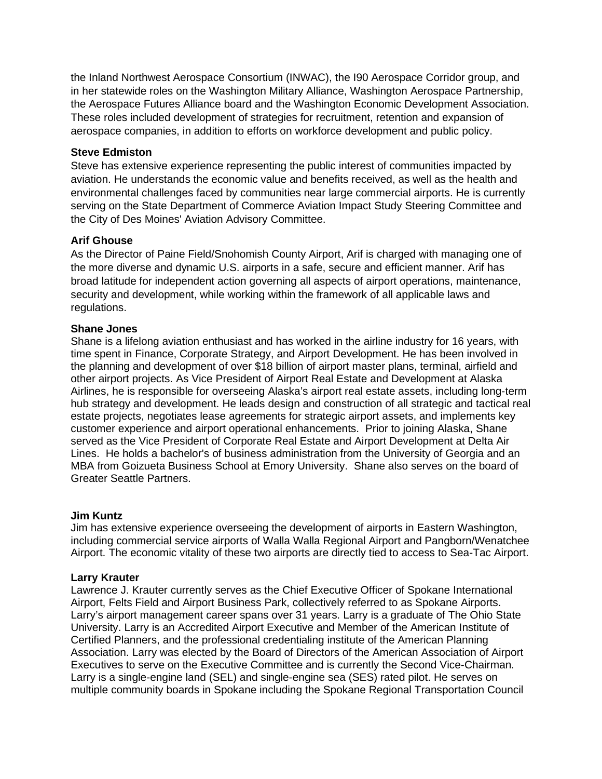the Inland Northwest Aerospace Consortium (INWAC), the I90 Aerospace Corridor group, and in her statewide roles on the Washington Military Alliance, Washington Aerospace Partnership, the Aerospace Futures Alliance board and the Washington Economic Development Association. These roles included development of strategies for recruitment, retention and expansion of aerospace companies, in addition to efforts on workforce development and public policy.

### **Steve Edmiston**

Steve has extensive experience representing the public interest of communities impacted by aviation. He understands the economic value and benefits received, as well as the health and environmental challenges faced by communities near large commercial airports. He is currently serving on the State Department of Commerce Aviation Impact Study Steering Committee and the City of Des Moines' Aviation Advisory Committee.

## **Arif Ghouse**

As the Director of Paine Field/Snohomish County Airport, Arif is charged with managing one of the more diverse and dynamic U.S. airports in a safe, secure and efficient manner. Arif has broad latitude for independent action governing all aspects of airport operations, maintenance, security and development, while working within the framework of all applicable laws and regulations.

#### **Shane Jones**

Shane is a lifelong aviation enthusiast and has worked in the airline industry for 16 years, with time spent in Finance, Corporate Strategy, and Airport Development. He has been involved in the planning and development of over \$18 billion of airport master plans, terminal, airfield and other airport projects. As Vice President of Airport Real Estate and Development at Alaska Airlines, he is responsible for overseeing Alaska's airport real estate assets, including long-term hub strategy and development. He leads design and construction of all strategic and tactical real estate projects, negotiates lease agreements for strategic airport assets, and implements key customer experience and airport operational enhancements. Prior to joining Alaska, Shane served as the Vice President of Corporate Real Estate and Airport Development at Delta Air Lines. He holds a bachelor's of business administration from the University of Georgia and an MBA from Goizueta Business School at Emory University. Shane also serves on the board of Greater Seattle Partners.

#### **Jim Kuntz**

Jim has extensive experience overseeing the development of airports in Eastern Washington, including commercial service airports of Walla Walla Regional Airport and Pangborn/Wenatchee Airport. The economic vitality of these two airports are directly tied to access to Sea-Tac Airport.

#### **Larry Krauter**

Lawrence J. Krauter currently serves as the Chief Executive Officer of Spokane International Airport, Felts Field and Airport Business Park, collectively referred to as Spokane Airports. Larry's airport management career spans over 31 years. Larry is a graduate of The Ohio State University. Larry is an Accredited Airport Executive and Member of the American Institute of Certified Planners, and the professional credentialing institute of the American Planning Association. Larry was elected by the Board of Directors of the American Association of Airport Executives to serve on the Executive Committee and is currently the Second Vice-Chairman. Larry is a single-engine land (SEL) and single-engine sea (SES) rated pilot. He serves on multiple community boards in Spokane including the Spokane Regional Transportation Council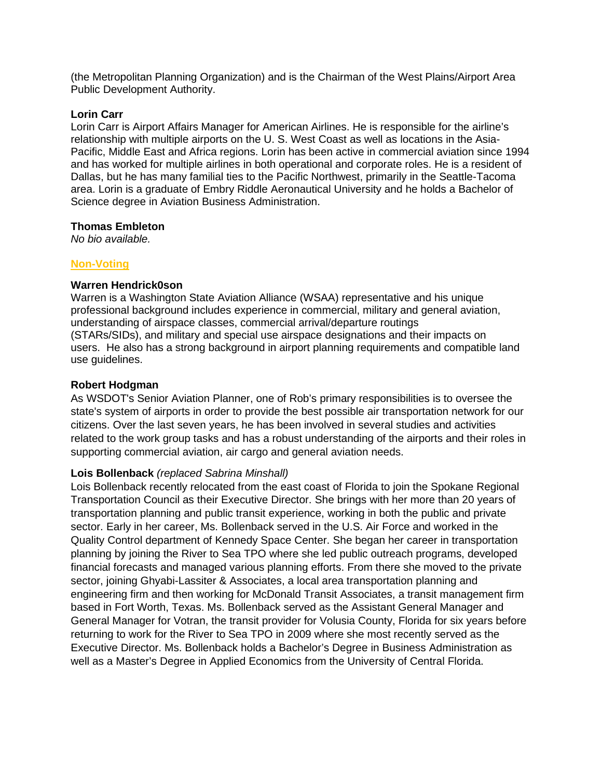(the Metropolitan Planning Organization) and is the Chairman of the West Plains/Airport Area Public Development Authority.

#### **Lorin Carr**

Lorin Carr is Airport Affairs Manager for American Airlines. He is responsible for the airline's relationship with multiple airports on the U. S. West Coast as well as locations in the Asia-Pacific, Middle East and Africa regions. Lorin has been active in commercial aviation since 1994 and has worked for multiple airlines in both operational and corporate roles. He is a resident of Dallas, but he has many familial ties to the Pacific Northwest, primarily in the Seattle-Tacoma area. Lorin is a graduate of Embry Riddle Aeronautical University and he holds a Bachelor of Science degree in Aviation Business Administration.

#### **Thomas Embleton**

*No bio available.*

## **Non-Voting**

#### **Warren Hendrick0son**

Warren is a Washington State Aviation Alliance (WSAA) representative and his unique professional background includes experience in commercial, military and general aviation, understanding of airspace classes, commercial arrival/departure routings (STARs/SIDs), and military and special use airspace designations and their impacts on users. He also has a strong background in airport planning requirements and compatible land use guidelines.

## **Robert Hodgman**

As WSDOT's Senior Aviation Planner, one of Rob's primary responsibilities is to oversee the state's system of airports in order to provide the best possible air transportation network for our citizens. Over the last seven years, he has been involved in several studies and activities related to the work group tasks and has a robust understanding of the airports and their roles in supporting commercial aviation, air cargo and general aviation needs.

## **Lois Bollenback** *(replaced Sabrina Minshall)*

Lois Bollenback recently relocated from the east coast of Florida to join the Spokane Regional Transportation Council as their Executive Director. She brings with her more than 20 years of transportation planning and public transit experience, working in both the public and private sector. Early in her career, Ms. Bollenback served in the U.S. Air Force and worked in the Quality Control department of Kennedy Space Center. She began her career in transportation planning by joining the River to Sea TPO where she led public outreach programs, developed financial forecasts and managed various planning efforts. From there she moved to the private sector, joining Ghyabi-Lassiter & Associates, a local area transportation planning and engineering firm and then working for McDonald Transit Associates, a transit management firm based in Fort Worth, Texas. Ms. Bollenback served as the Assistant General Manager and General Manager for Votran, the transit provider for Volusia County, Florida for six years before returning to work for the River to Sea TPO in 2009 where she most recently served as the Executive Director. Ms. Bollenback holds a Bachelor's Degree in Business Administration as well as a Master's Degree in Applied Economics from the University of Central Florida.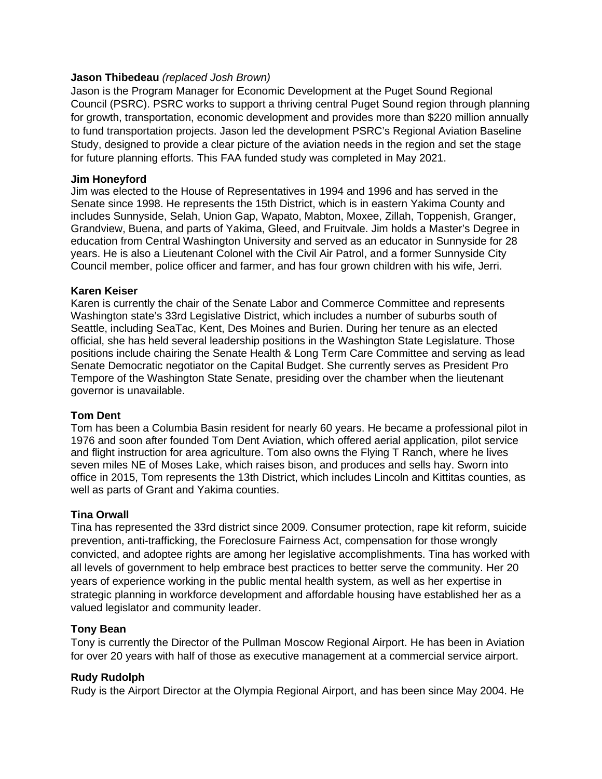#### **Jason Thibedeau** *(replaced Josh Brown)*

Jason is the Program Manager for Economic Development at the Puget Sound Regional Council (PSRC). PSRC works to support a thriving central Puget Sound region through planning for growth, transportation, economic development and provides more than \$220 million annually to fund transportation projects. Jason led the development PSRC's Regional Aviation Baseline Study, designed to provide a clear picture of the aviation needs in the region and set the stage for future planning efforts. This FAA funded study was completed in May 2021.

#### **Jim Honeyford**

Jim was elected to the House of Representatives in 1994 and 1996 and has served in the Senate since 1998. He represents the 15th District, which is in eastern Yakima County and includes Sunnyside, Selah, Union Gap, Wapato, Mabton, Moxee, Zillah, Toppenish, Granger, Grandview, Buena, and parts of Yakima, Gleed, and Fruitvale. Jim holds a Master's Degree in education from Central Washington University and served as an educator in Sunnyside for 28 years. He is also a Lieutenant Colonel with the Civil Air Patrol, and a former Sunnyside City Council member, police officer and farmer, and has four grown children with his wife, Jerri.

#### **Karen Keiser**

Karen is currently the chair of the Senate Labor and Commerce Committee and represents Washington state's 33rd Legislative District, which includes a number of suburbs south of Seattle, including SeaTac, Kent, Des Moines and Burien. During her tenure as an elected official, she has held several leadership positions in the Washington State Legislature. Those positions include chairing the Senate Health & Long Term Care Committee and serving as lead Senate Democratic negotiator on the Capital Budget. She currently serves as President Pro Tempore of the Washington State Senate, presiding over the chamber when the lieutenant governor is unavailable.

#### **Tom Dent**

Tom has been a Columbia Basin resident for nearly 60 years. He became a professional pilot in 1976 and soon after founded Tom Dent Aviation, which offered aerial application, pilot service and flight instruction for area agriculture. Tom also owns the Flying T Ranch, where he lives seven miles NE of Moses Lake, which raises bison, and produces and sells hay. Sworn into office in 2015, Tom represents the 13th District, which includes Lincoln and Kittitas counties, as well as parts of Grant and Yakima counties.

## **Tina Orwall**

Tina has represented the 33rd district since 2009. Consumer protection, rape kit reform, suicide prevention, anti-trafficking, the Foreclosure Fairness Act, compensation for those wrongly convicted, and adoptee rights are among her legislative accomplishments. Tina has worked with all levels of government to help embrace best practices to better serve the community. Her 20 years of experience working in the public mental health system, as well as her expertise in strategic planning in workforce development and affordable housing have established her as a valued legislator and community leader.

#### **Tony Bean**

Tony is currently the Director of the Pullman Moscow Regional Airport. He has been in Aviation for over 20 years with half of those as executive management at a commercial service airport.

## **Rudy Rudolph**

Rudy is the Airport Director at the Olympia Regional Airport, and has been since May 2004. He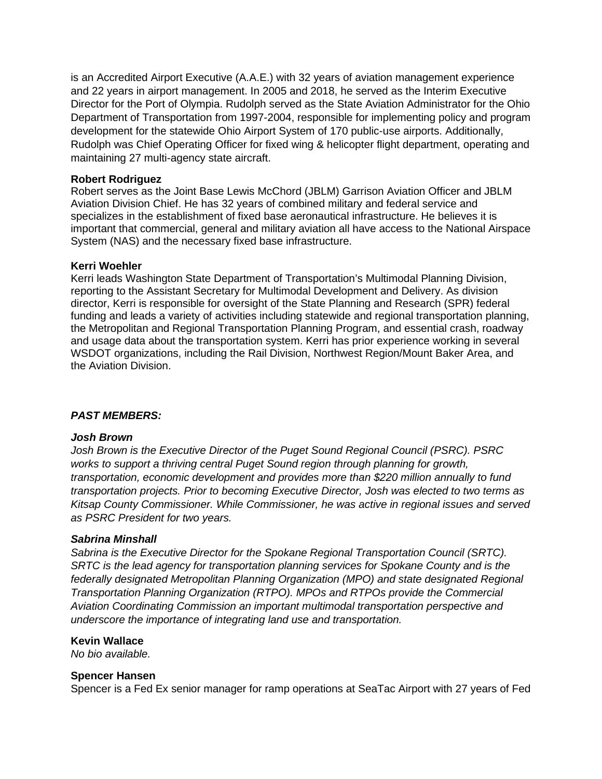is an Accredited Airport Executive (A.A.E.) with 32 years of aviation management experience and 22 years in airport management. In 2005 and 2018, he served as the Interim Executive Director for the Port of Olympia. Rudolph served as the State Aviation Administrator for the Ohio Department of Transportation from 1997-2004, responsible for implementing policy and program development for the statewide Ohio Airport System of 170 public-use airports. Additionally, Rudolph was Chief Operating Officer for fixed wing & helicopter flight department, operating and maintaining 27 multi-agency state aircraft.

#### **Robert Rodriguez**

Robert serves as the Joint Base Lewis McChord (JBLM) Garrison Aviation Officer and JBLM Aviation Division Chief. He has 32 years of combined military and federal service and specializes in the establishment of fixed base aeronautical infrastructure. He believes it is important that commercial, general and military aviation all have access to the National Airspace System (NAS) and the necessary fixed base infrastructure.

#### **Kerri Woehler**

Kerri leads Washington State Department of Transportation's Multimodal Planning Division, reporting to the Assistant Secretary for Multimodal Development and Delivery. As division director, Kerri is responsible for oversight of the State Planning and Research (SPR) federal funding and leads a variety of activities including statewide and regional transportation planning, the Metropolitan and Regional Transportation Planning Program, and essential crash, roadway and usage data about the transportation system. Kerri has prior experience working in several WSDOT organizations, including the Rail Division, Northwest Region/Mount Baker Area, and the Aviation Division.

## *PAST MEMBERS:*

#### *Josh Brown*

*Josh Brown is the Executive Director of the Puget Sound Regional Council (PSRC). PSRC works to support a thriving central Puget Sound region through planning for growth, transportation, economic development and provides more than \$220 million annually to fund transportation projects. Prior to becoming Executive Director, Josh was elected to two terms as Kitsap County Commissioner. While Commissioner, he was active in regional issues and served as PSRC President for two years.*

#### *Sabrina Minshall*

*Sabrina is the Executive Director for the Spokane Regional Transportation Council (SRTC). SRTC is the lead agency for transportation planning services for Spokane County and is the federally designated Metropolitan Planning Organization (MPO) and state designated Regional Transportation Planning Organization (RTPO). MPOs and RTPOs provide the Commercial Aviation Coordinating Commission an important multimodal transportation perspective and underscore the importance of integrating land use and transportation.* 

#### **Kevin Wallace**

*No bio available.*

#### **Spencer Hansen**

Spencer is a Fed Ex senior manager for ramp operations at SeaTac Airport with 27 years of Fed